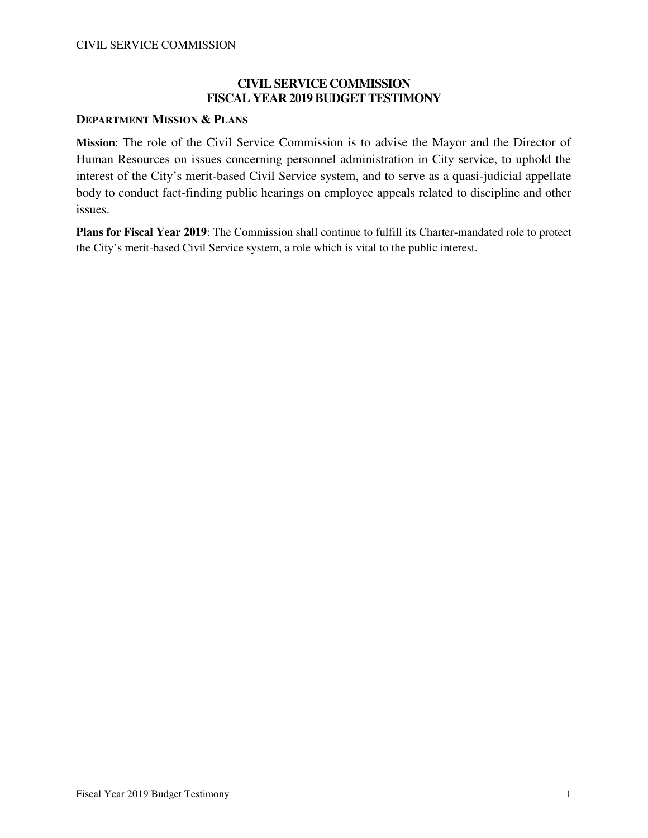## **CIVIL SERVICE COMMISSION FISCAL YEAR 2019 BUDGET TESTIMONY**

### **DEPARTMENT MISSION & PLANS**

**Mission**: The role of the Civil Service Commission is to advise the Mayor and the Director of Human Resources on issues concerning personnel administration in City service, to uphold the interest of the City's merit-based Civil Service system, and to serve as a quasi-judicial appellate body to conduct fact-finding public hearings on employee appeals related to discipline and other issues.

**Plans for Fiscal Year 2019**: The Commission shall continue to fulfill its Charter-mandated role to protect the City's merit-based Civil Service system, a role which is vital to the public interest.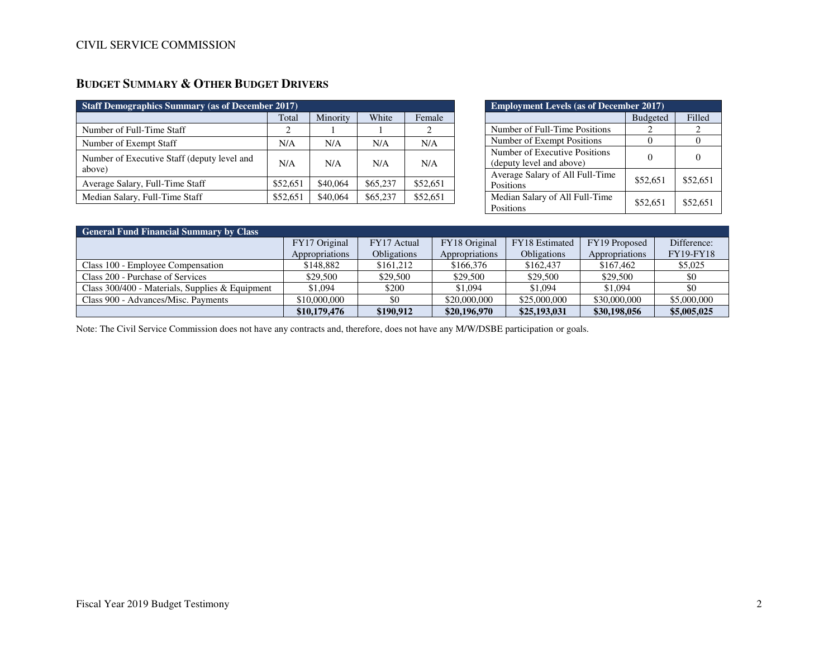| <b>Staff Demographics Summary (as of December 2017)</b> |          |          |          |          |  |
|---------------------------------------------------------|----------|----------|----------|----------|--|
|                                                         | Total    | Minority | White    | Female   |  |
| Number of Full-Time Staff                               | 2        |          |          |          |  |
| Number of Exempt Staff                                  | N/A      | N/A      | N/A      | N/A      |  |
| Number of Executive Staff (deputy level and<br>above)   | N/A      | N/A      | N/A      | N/A      |  |
| Average Salary, Full-Time Staff                         | \$52,651 | \$40,064 | \$65,237 | \$52,651 |  |

Median Salary, Full-Time Staff <br> \$52,651 \$40,064 \$65,237 \$52,651

# **BUDGET SUMMARY & OTHER BUDGET DRIVERS**

| <b>Employment Levels (as of December 2017)</b>            |                 |          |  |
|-----------------------------------------------------------|-----------------|----------|--|
|                                                           | <b>Budgeted</b> | Filled   |  |
| Number of Full-Time Positions                             |                 |          |  |
| Number of Exempt Positions                                |                 |          |  |
| Number of Executive Positions<br>(deputy level and above) |                 |          |  |
| Average Salary of All Full-Time<br>Positions              | \$52,651        | \$52,651 |  |
| Median Salary of All Full-Time<br>Positions               | \$52.651        | \$52,651 |  |

| <b>General Fund Financial Summary by Class</b>  |                |                    |                |                       |                |                  |
|-------------------------------------------------|----------------|--------------------|----------------|-----------------------|----------------|------------------|
|                                                 | FY17 Original  | FY17 Actual        | FY18 Original  | <b>FY18</b> Estimated | FY19 Proposed  | Difference:      |
|                                                 | Appropriations | <b>Obligations</b> | Appropriations | <b>Obligations</b>    | Appropriations | <b>FY19-FY18</b> |
| Class 100 - Employee Compensation               | \$148,882      | \$161.212          | \$166,376      | \$162.437             | \$167,462      | \$5,025          |
| Class 200 - Purchase of Services                | \$29.500       | \$29,500           | \$29,500       | \$29,500              | \$29,500       | \$0              |
| Class 300/400 - Materials, Supplies & Equipment | \$1,094        | \$200              | \$1,094        | \$1,094               | \$1,094        | \$0              |
| Class 900 - Advances/Misc. Payments             | \$10,000,000   | \$0                | \$20,000,000   | \$25,000,000          | \$30,000,000   | \$5,000,000      |
|                                                 | \$10,179,476   | \$190,912          | \$20,196,970   | \$25,193,031          | \$30,198,056   | \$5,005,025      |

Note: The Civil Service Commission does not have any contracts and, therefore, does not have any M/W/DSBE participation or goals.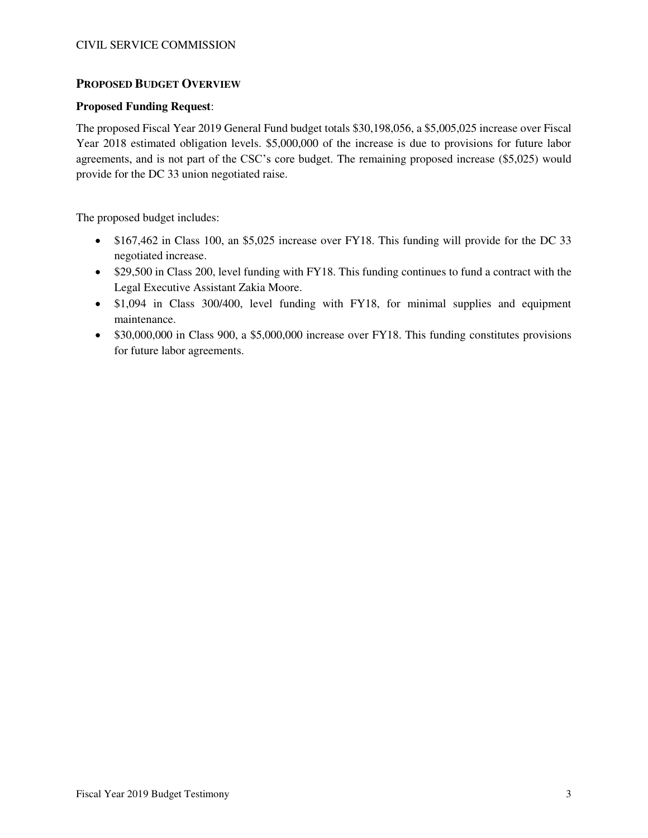### **PROPOSED BUDGET OVERVIEW**

#### **Proposed Funding Request**:

The proposed Fiscal Year 2019 General Fund budget totals \$30,198,056, a \$5,005,025 increase over Fiscal Year 2018 estimated obligation levels. \$5,000,000 of the increase is due to provisions for future labor agreements, and is not part of the CSC's core budget. The remaining proposed increase (\$5,025) would provide for the DC 33 union negotiated raise.

The proposed budget includes:

- \$167,462 in Class 100, an \$5,025 increase over FY18. This funding will provide for the DC 33 negotiated increase.
- \$29,500 in Class 200, level funding with FY18. This funding continues to fund a contract with the Legal Executive Assistant Zakia Moore.
- \$1,094 in Class 300/400, level funding with FY18, for minimal supplies and equipment maintenance.
- \$30,000,000 in Class 900, a \$5,000,000 increase over FY18. This funding constitutes provisions for future labor agreements.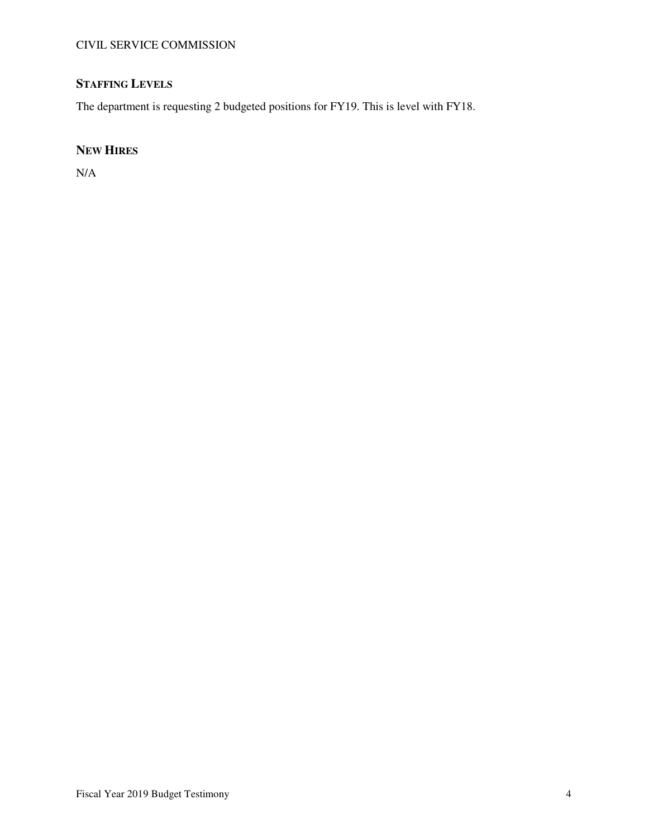# **STAFFING LEVELS**

The department is requesting 2 budgeted positions for FY19. This is level with FY18.

# **NEW HIRES**

N/A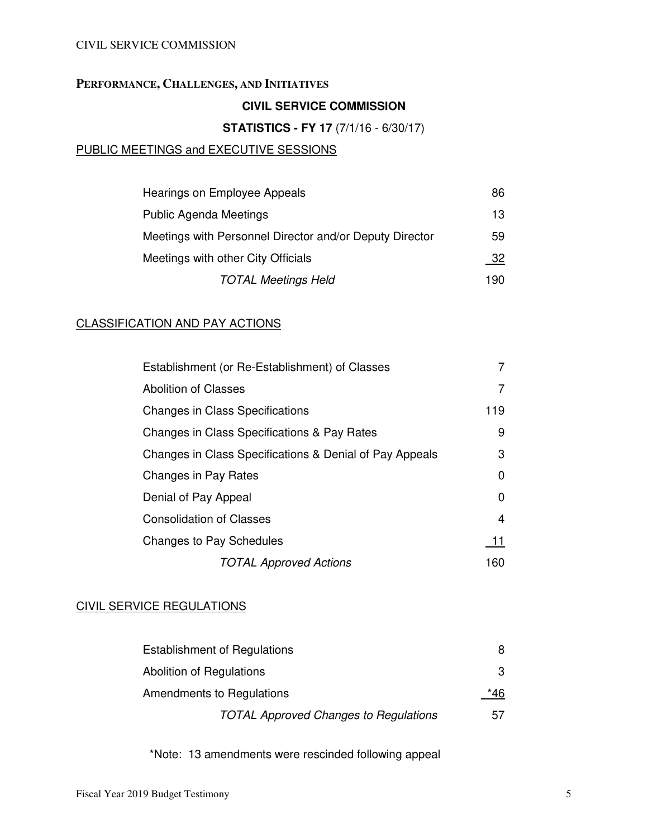## **PERFORMANCE, CHALLENGES, AND INITIATIVES**

# **CIVIL SERVICE COMMISSION**

## **STATISTICS - FY 17** (7/1/16 - 6/30/17)

## PUBLIC MEETINGS and EXECUTIVE SESSIONS

| Hearings on Employee Appeals                            | 86  |
|---------------------------------------------------------|-----|
| <b>Public Agenda Meetings</b>                           | 13  |
| Meetings with Personnel Director and/or Deputy Director | 59  |
| Meetings with other City Officials                      | 32  |
| <b>TOTAL Meetings Held</b>                              | 190 |

## CLASSIFICATION AND PAY ACTIONS

| Establishment (or Re-Establishment) of Classes          |          |
|---------------------------------------------------------|----------|
| <b>Abolition of Classes</b>                             | 7        |
| <b>Changes in Class Specifications</b>                  | 119      |
| Changes in Class Specifications & Pay Rates             | 9        |
| Changes in Class Specifications & Denial of Pay Appeals | 3        |
| Changes in Pay Rates                                    | 0        |
| Denial of Pay Appeal                                    | $\Omega$ |
| <b>Consolidation of Classes</b>                         | 4        |
| <b>Changes to Pay Schedules</b>                         | 11       |
| <b>TOTAL Approved Actions</b>                           | 160      |

# CIVIL SERVICE REGULATIONS

| <b>Establishment of Regulations</b>          | 8   |
|----------------------------------------------|-----|
| Abolition of Regulations                     | 3   |
| Amendments to Regulations                    | *46 |
| <b>TOTAL Approved Changes to Regulations</b> | 57  |

\*Note: 13 amendments were rescinded following appeal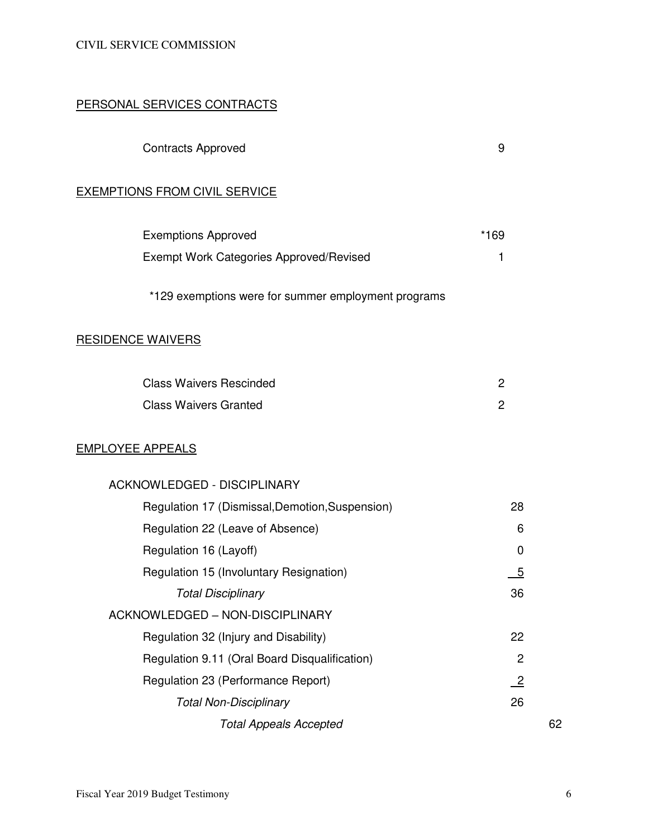## PERSONAL SERVICES CONTRACTS

| <b>Contracts Approved</b> |  |
|---------------------------|--|
|---------------------------|--|

## EXEMPTIONS FROM CIVIL SERVICE

| <b>Exemptions Approved</b>                          | *169 |
|-----------------------------------------------------|------|
| Exempt Work Categories Approved/Revised             |      |
| *129 exemptions were for summer employment programs |      |

# RESIDENCE WAIVERS

| <b>Class Waivers Rescinded</b> |  |
|--------------------------------|--|
| <b>Class Waivers Granted</b>   |  |

## EMPLOYEE APPEALS

| <b>ACKNOWLEDGED - DISCIPLINARY</b>              |                 |    |
|-------------------------------------------------|-----------------|----|
| Regulation 17 (Dismissal, Demotion, Suspension) | 28              |    |
| Regulation 22 (Leave of Absence)                | 6               |    |
| Regulation 16 (Layoff)                          | 0               |    |
| Regulation 15 (Involuntary Resignation)         | $\overline{5}$  |    |
| <b>Total Disciplinary</b>                       | 36              |    |
| ACKNOWLEDGED - NON-DISCIPLINARY                 |                 |    |
| Regulation 32 (Injury and Disability)           | 22              |    |
| Regulation 9.11 (Oral Board Disqualification)   | $\overline{2}$  |    |
| Regulation 23 (Performance Report)              | $\overline{-2}$ |    |
| <b>Total Non-Disciplinary</b>                   | 26              |    |
| <b>Total Appeals Accepted</b>                   |                 | 62 |
|                                                 |                 |    |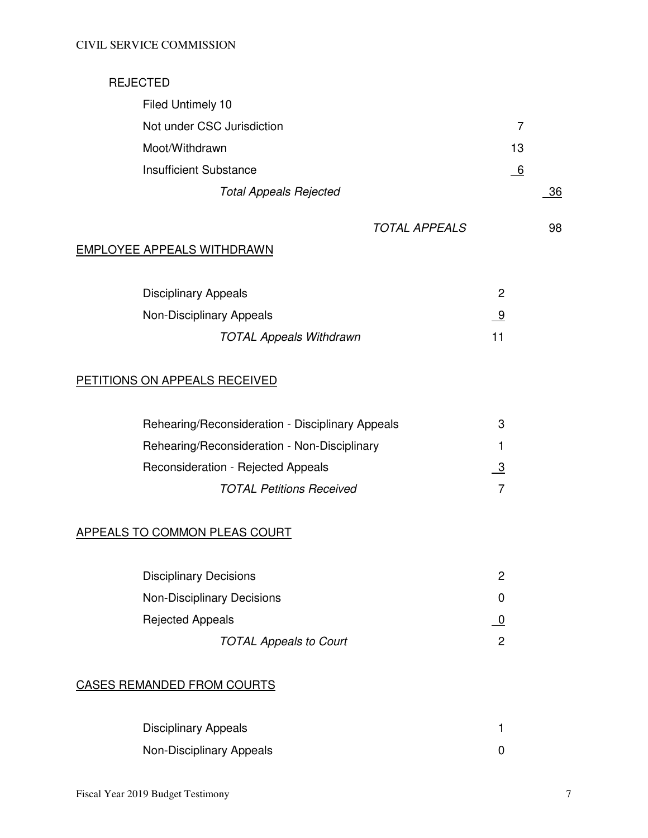# REJECTED

| Filed Untimely 10             |          |    |
|-------------------------------|----------|----|
| Not under CSC Jurisdiction    |          |    |
| Moot/Withdrawn                | 13       |    |
| <b>Insufficient Substance</b> | <u>6</u> |    |
| <b>Total Appeals Rejected</b> |          | 36 |
|                               |          |    |

# TOTAL APPEALS 98

# EMPLOYEE APPEALS WITHDRAWN

| <b>Disciplinary Appeals</b>    |  |
|--------------------------------|--|
| Non-Disciplinary Appeals       |  |
| <b>TOTAL Appeals Withdrawn</b> |  |

# PETITIONS ON APPEALS RECEIVED

| Rehearing/Reconsideration - Disciplinary Appeals | 3 |
|--------------------------------------------------|---|
| Rehearing/Reconsideration - Non-Disciplinary     |   |
| Reconsideration - Rejected Appeals               | 3 |
| <b>TOTAL Petitions Received</b>                  |   |

# APPEALS TO COMMON PLEAS COURT

| <b>Disciplinary Decisions</b>     | 2 |
|-----------------------------------|---|
| <b>Non-Disciplinary Decisions</b> |   |
| <b>Rejected Appeals</b>           |   |
| <b>TOTAL Appeals to Court</b>     | 2 |

# CASES REMANDED FROM COURTS

| <b>Disciplinary Appeals</b> |  |
|-----------------------------|--|
| Non-Disciplinary Appeals    |  |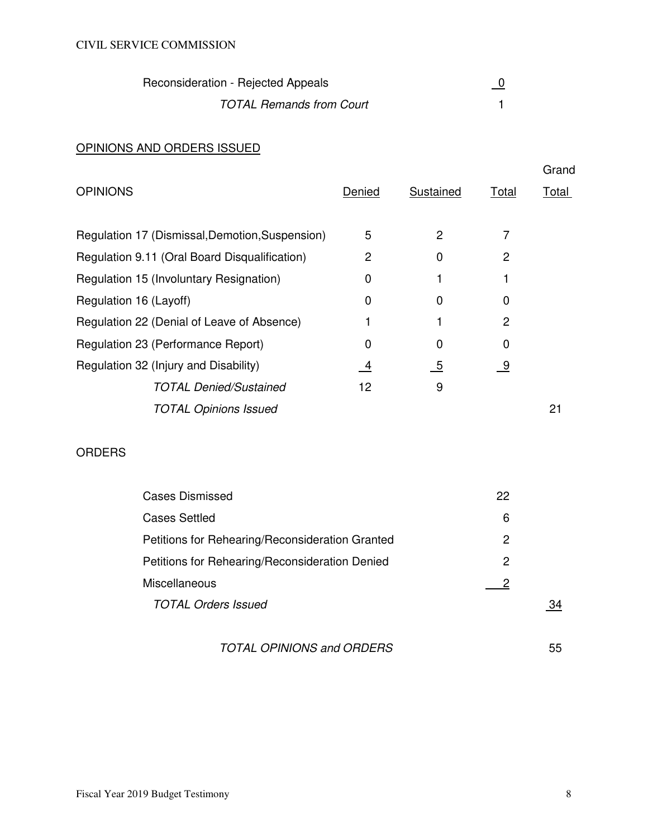| Reconsideration - Rejected Appeals |  |
|------------------------------------|--|
| <b>TOTAL Remands from Court</b>    |  |

# OPINIONS AND ORDERS ISSUED

|        |           |           | Grand        |
|--------|-----------|-----------|--------------|
| Denied | Sustained | Total     | <u>Total</u> |
|        |           |           |              |
| 5      | 2         |           |              |
| 2      | 0         | 2         |              |
| 0      |           |           |              |
| 0      | 0         | 0         |              |
|        |           | 2         |              |
| 0      | 0         | 0         |              |
| 4      | <u>_5</u> | <u>_9</u> |              |
| 12     | 9         |           |              |
|        |           |           | 21           |
|        |           |           |              |

# ORDERS

| <b>Cases Dismissed</b>                          | 22 |    |
|-------------------------------------------------|----|----|
| <b>Cases Settled</b>                            | 6  |    |
| Petitions for Rehearing/Reconsideration Granted | 2  |    |
| Petitions for Rehearing/Reconsideration Denied  | 2  |    |
| <b>Miscellaneous</b>                            |    |    |
| <b>TOTAL Orders Issued</b>                      |    | 34 |
|                                                 |    |    |

# TOTAL OPINIONS and ORDERS 55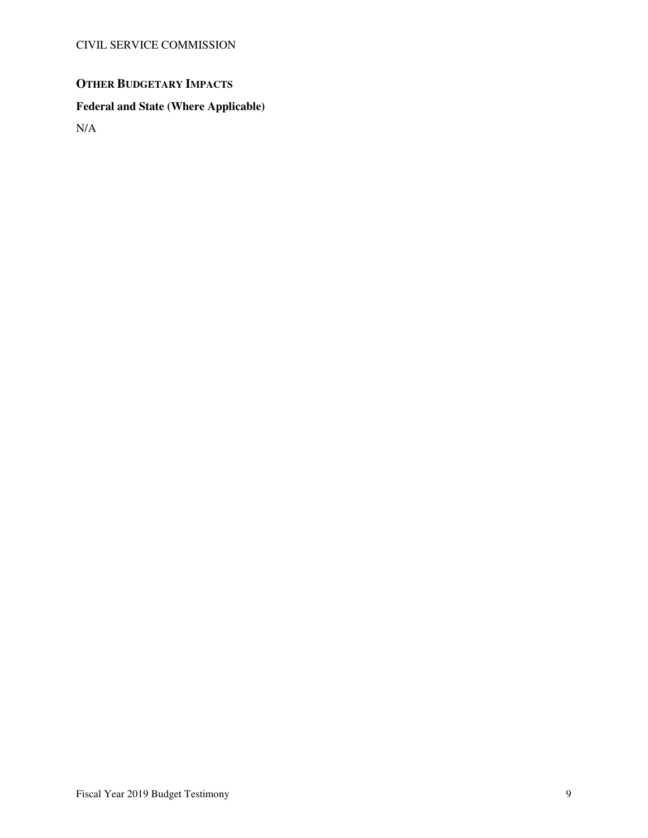# **OTHER BUDGETARY IMPACTS**

# **Federal and State (Where Applicable)**

N/A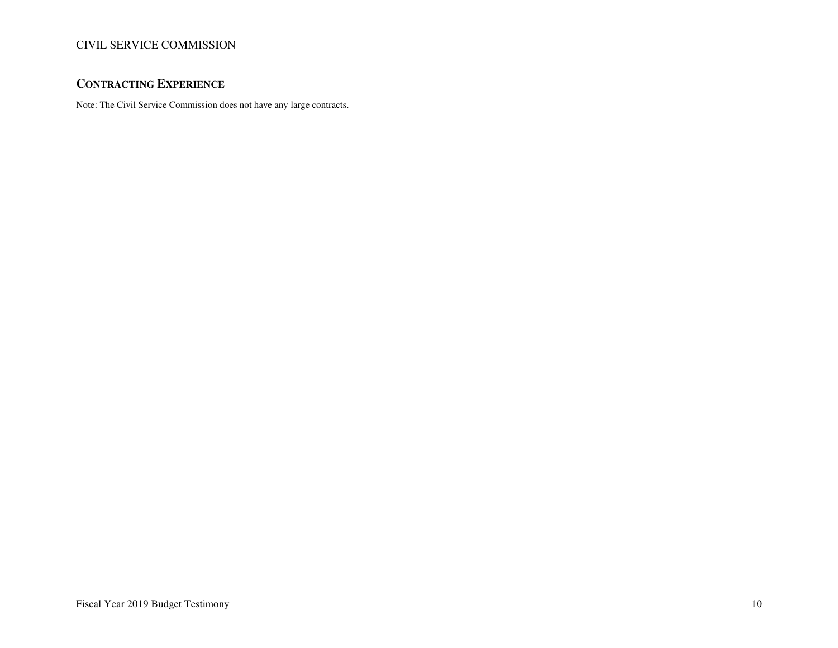# **CONTRACTING EXPERIENCE**

Note: The Civil Service Commission does not have any large contracts.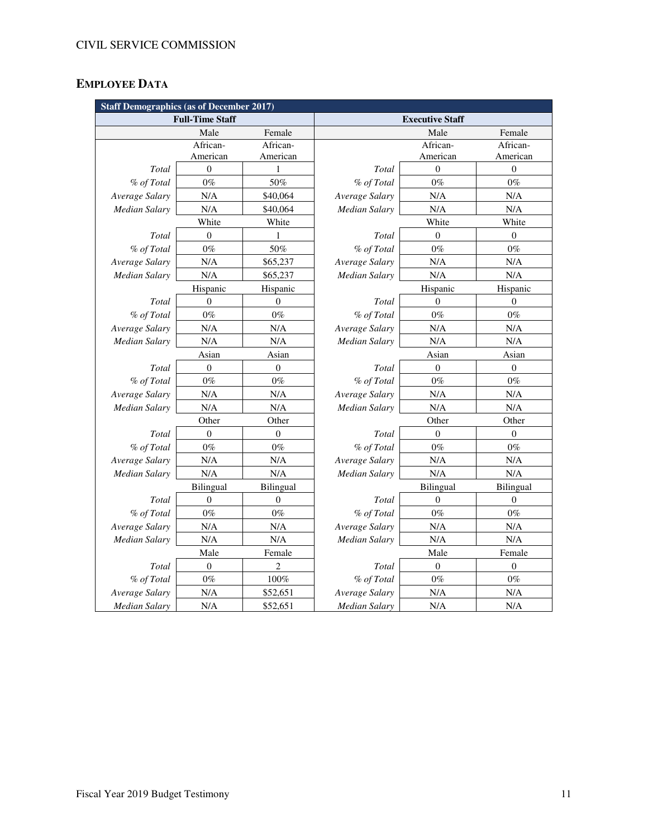# **EMPLOYEE DATA**

| <b>Staff Demographics (as of December 2017)</b> |                  |                  |                      |                        |                  |
|-------------------------------------------------|------------------|------------------|----------------------|------------------------|------------------|
| <b>Full-Time Staff</b>                          |                  |                  |                      | <b>Executive Staff</b> |                  |
|                                                 | Male             | Female           |                      | Male                   | Female           |
|                                                 | African-         | African-         |                      | African-               | African-         |
|                                                 | American         | American         |                      | American               | American         |
| Total                                           | $\mathbf{0}$     | 1                | Total                | $\boldsymbol{0}$       | $\mathbf{0}$     |
| % of Total                                      | $0\%$            | 50%              | % of Total           | $0\%$                  | $0\%$            |
| Average Salary                                  | N/A              | \$40,064         | Average Salary       | N/A                    | N/A              |
| <b>Median Salary</b>                            | N/A              | \$40,064         | Median Salary        | N/A                    | N/A              |
|                                                 | White            | White            |                      | White                  | White            |
| Total                                           | $\mathbf{0}$     | 1                | Total                | $\overline{0}$         | $\mathbf{0}$     |
| % of Total                                      | $0\%$            | 50%              | % of Total           | $0\%$                  | $0\%$            |
| Average Salary                                  | N/A              | \$65,237         | Average Salary       | N/A                    | N/A              |
| <b>Median Salary</b>                            | N/A              | \$65,237         | Median Salary        | N/A                    | N/A              |
|                                                 | Hispanic         | Hispanic         |                      | Hispanic               | Hispanic         |
| Total                                           | $\boldsymbol{0}$ | $\mathbf{0}$     | Total                | $\overline{0}$         | $\boldsymbol{0}$ |
| % of Total                                      | $0\%$            | $0\%$            | % of Total           | $0\%$                  | $0\%$            |
| Average Salary                                  | N/A              | N/A              | Average Salary       | N/A                    | N/A              |
| <b>Median Salary</b>                            | N/A              | N/A              | <b>Median Salary</b> | N/A                    | N/A              |
|                                                 | Asian            | Asian            | Asian                |                        | Asian            |
| Total                                           | $\boldsymbol{0}$ | $\boldsymbol{0}$ | Total                | $\boldsymbol{0}$       | $\boldsymbol{0}$ |
| % of Total                                      | $0\%$            | $0\%$            | % of Total           | $0\%$                  | $0\%$            |
| Average Salary                                  | N/A              | N/A              | Average Salary       | N/A                    | N/A              |
| <b>Median Salary</b>                            | N/A              | N/A              | <b>Median Salary</b> | N/A                    | N/A              |
|                                                 | Other            | Other            | Other                |                        | Other            |
| Total                                           | $\boldsymbol{0}$ | $\boldsymbol{0}$ | Total                | $\boldsymbol{0}$       | $\boldsymbol{0}$ |
| % of Total                                      | $0\%$            | $0\%$            | % of Total           | $0\%$                  | $0\%$            |
| Average Salary                                  | N/A              | N/A              | Average Salary       | N/A                    | N/A              |
| <b>Median Salary</b>                            | N/A              | N/A              | Median Salary        | N/A                    | N/A              |
|                                                 | Bilingual        | Bilingual        |                      | Bilingual              | Bilingual        |
| Total                                           | $\overline{0}$   | $\boldsymbol{0}$ | Total                | $\theta$               | $\mathbf{0}$     |
| % of Total                                      | $0\%$            | $0\%$            | % of Total           | $0\%$                  | $0\%$            |
| Average Salary                                  | N/A              | N/A              | Average Salary       | N/A                    | N/A              |
| <b>Median Salary</b>                            | N/A              | N/A              | Median Salary        | N/A                    | N/A              |
|                                                 | Male             | Female           | Male                 |                        | Female           |
| Total                                           | $\boldsymbol{0}$ | $\overline{c}$   | Total                | $\boldsymbol{0}$       | $\boldsymbol{0}$ |
| % of Total                                      | $0\%$            | $100\%$          | % of Total           | $0\%$                  | $0\%$            |
| Average Salary                                  | N/A              | \$52,651         | Average Salary       | N/A                    | N/A              |
| <b>Median Salary</b>                            | N/A              | \$52,651         | <b>Median Salary</b> | N/A                    | N/A              |